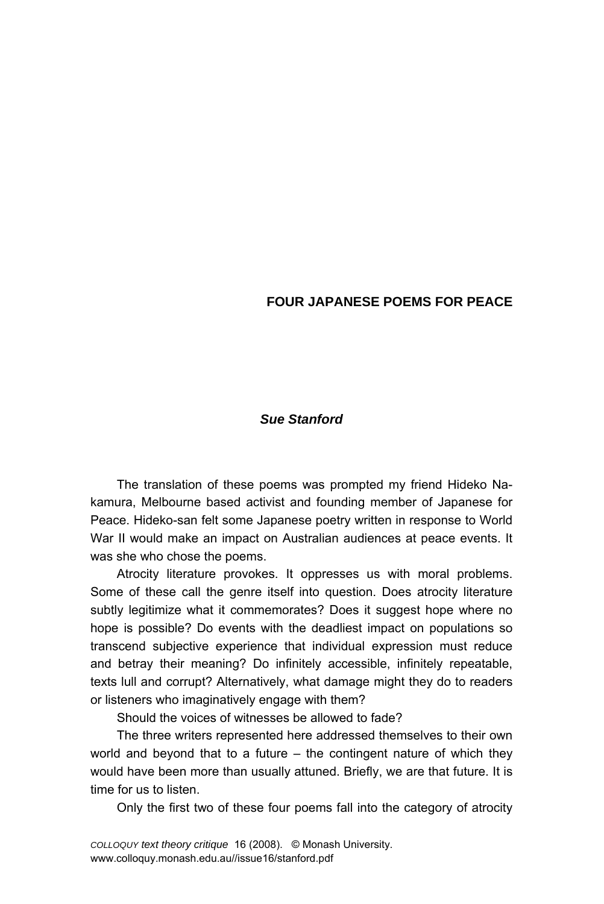# **FOUR JAPANESE POEMS FOR PEACE**

# *Sue Stanford*

The translation of these poems was prompted my friend Hideko Nakamura, Melbourne based activist and founding member of Japanese for Peace. Hideko-san felt some Japanese poetry written in response to World War II would make an impact on Australian audiences at peace events. It was she who chose the poems.

Atrocity literature provokes. It oppresses us with moral problems. Some of these call the genre itself into question. Does atrocity literature subtly legitimize what it commemorates? Does it suggest hope where no hope is possible? Do events with the deadliest impact on populations so transcend subjective experience that individual expression must reduce and betray their meaning? Do infinitely accessible, infinitely repeatable, texts lull and corrupt? Alternatively, what damage might they do to readers or listeners who imaginatively engage with them?

Should the voices of witnesses be allowed to fade?

The three writers represented here addressed themselves to their own world and beyond that to a future  $-$  the contingent nature of which they would have been more than usually attuned. Briefly, we are that future. It is time for us to listen.

Only the first two of these four poems fall into the category of atrocity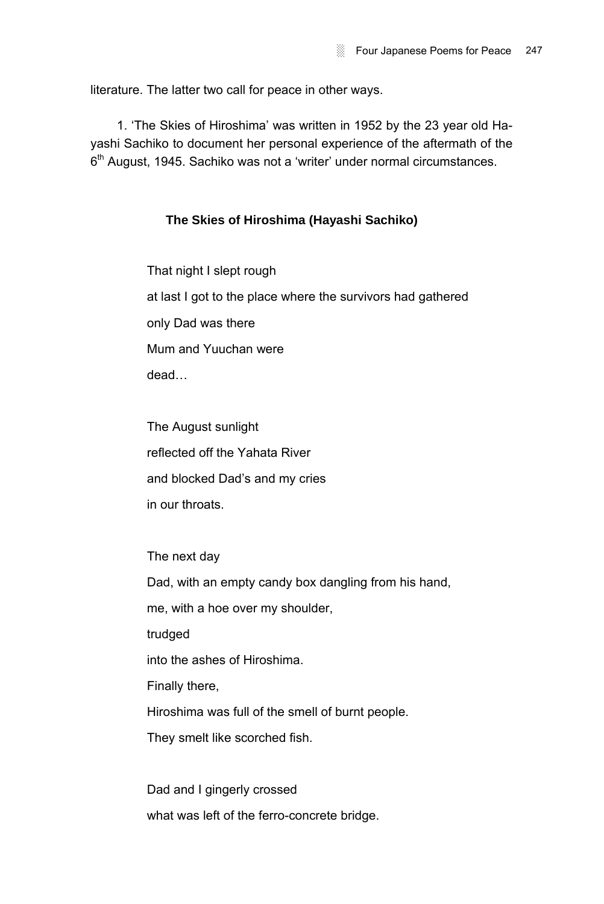literature. The latter two call for peace in other ways.

1. ëThe Skies of Hiroshimaí was written in 1952 by the 23 year old Hayashi Sachiko to document her personal experience of the aftermath of the 6<sup>th</sup> August, 1945. Sachiko was not a 'writer' under normal circumstances.

# **The Skies of Hiroshima (Hayashi Sachiko)**

That night I slept rough at last I got to the place where the survivors had gathered only Dad was there Mum and Yuuchan were deadÖ

The August sunlight reflected off the Yahata River and blocked Dad's and my cries in our throats.

The next day Dad, with an empty candy box dangling from his hand, me, with a hoe over my shoulder, trudged into the ashes of Hiroshima. Finally there, Hiroshima was full of the smell of burnt people. They smelt like scorched fish. Dad and I gingerly crossed

what was left of the ferro-concrete bridge.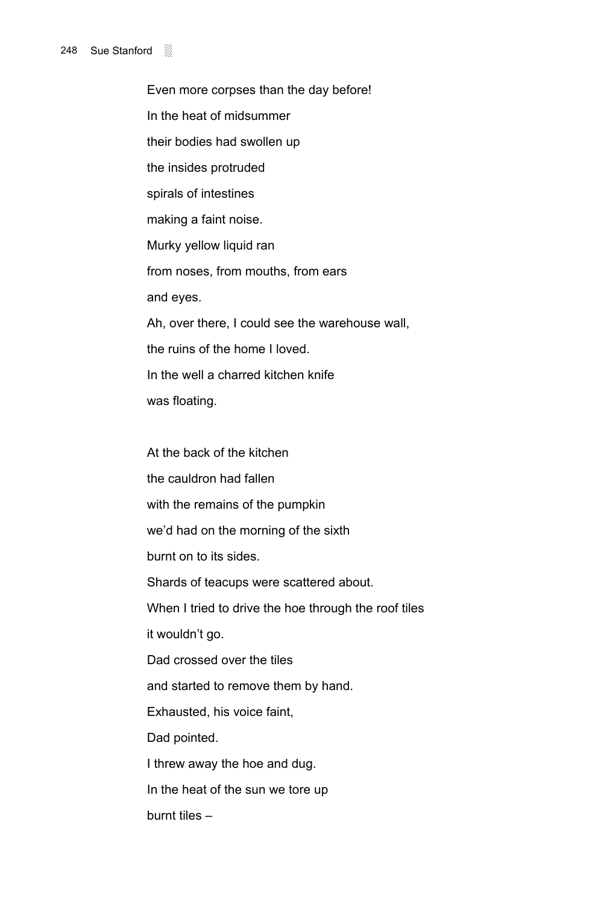### 248 Sue Stanford

Even more corpses than the day before! In the heat of midsummer their bodies had swollen up the insides protruded spirals of intestines making a faint noise. Murky yellow liquid ran from noses, from mouths, from ears and eyes. Ah, over there, I could see the warehouse wall, the ruins of the home I loved. In the well a charred kitchen knife was floating.

At the back of the kitchen the cauldron had fallen with the remains of the pumpkin we'd had on the morning of the sixth burnt on to its sides. Shards of teacups were scattered about. When I tried to drive the hoe through the roof tiles it wouldn't go. Dad crossed over the tiles and started to remove them by hand. Exhausted, his voice faint, Dad pointed. I threw away the hoe and dug. In the heat of the sun we tore up burnt tiles  $-$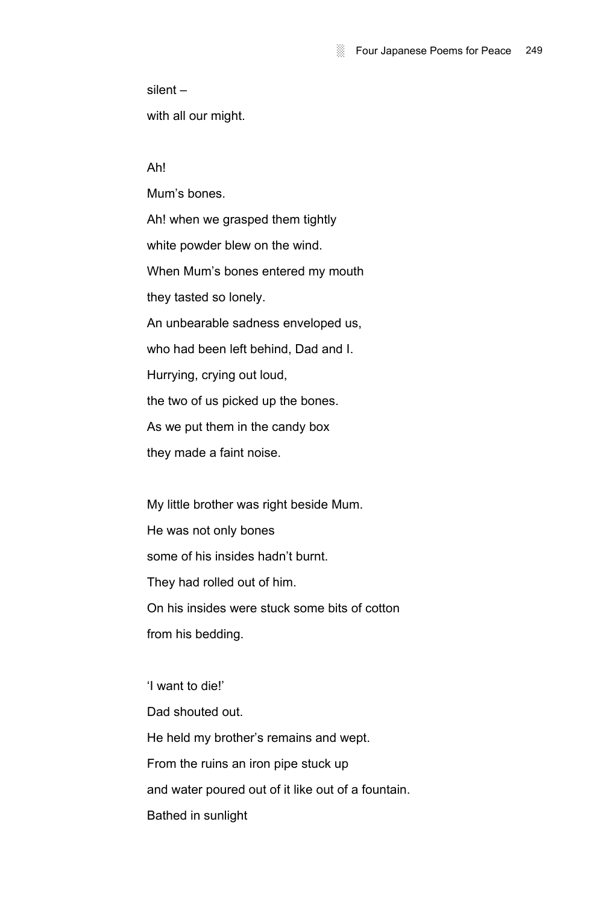$s$ ilent  $-$ 

with all our might.

Ah!

Mumís bones. Ah! when we grasped them tightly white powder blew on the wind. When Mumís bones entered my mouth they tasted so lonely. An unbearable sadness enveloped us, who had been left behind, Dad and I. Hurrying, crying out loud, the two of us picked up the bones. As we put them in the candy box they made a faint noise.

My little brother was right beside Mum. He was not only bones some of his insides hadn't burnt. They had rolled out of him. On his insides were stuck some bits of cotton from his bedding.

'I want to die!' Dad shouted out. He held my brother's remains and wept. From the ruins an iron pipe stuck up and water poured out of it like out of a fountain. Bathed in sunlight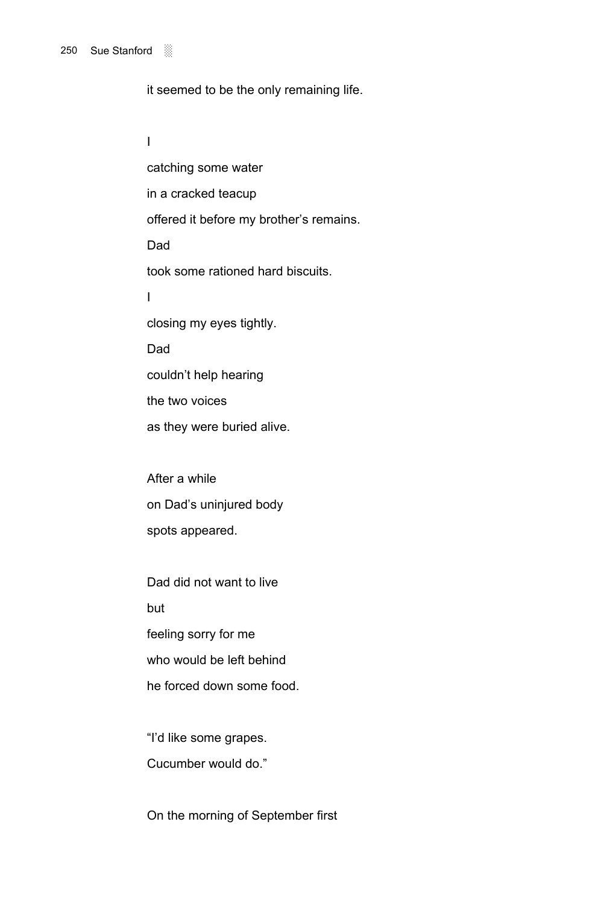### 250 Sue Stanford ░

it seemed to be the only remaining life.

I

catching some water in a cracked teacup offered it before my brother's remains. Dad took some rationed hard biscuits. I closing my eyes tightly. Dad couldn't help hearing the two voices as they were buried alive. After a while on Dad's uninjured body

spots appeared.

Dad did not want to live but feeling sorry for me who would be left behind he forced down some food.

"I'd like some grapes. Cucumber would do."

On the morning of September first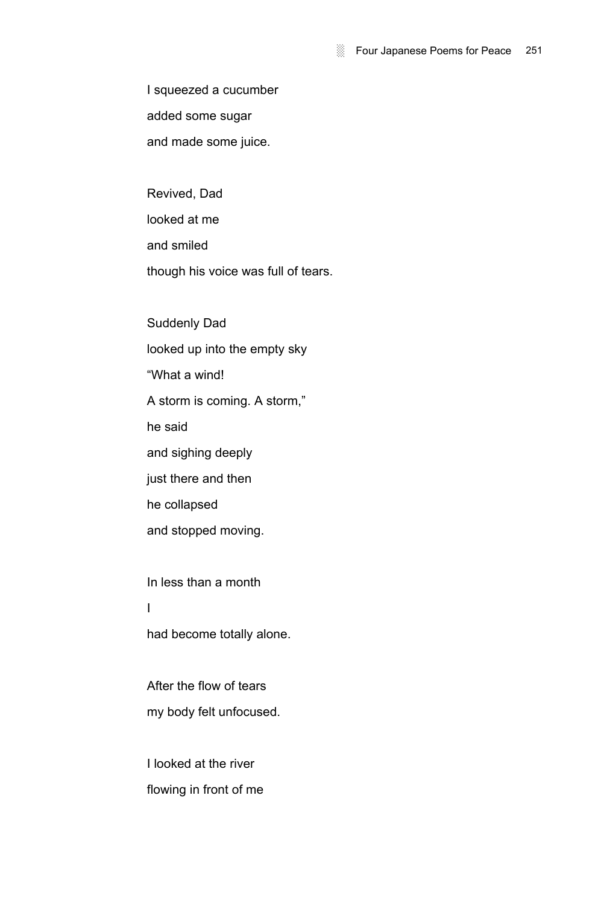I squeezed a cucumber added some sugar and made some juice.

Revived, Dad looked at me and smiled though his voice was full of tears.

Suddenly Dad looked up into the empty sky ìWhat a wind! A storm is coming. A storm," he said and sighing deeply just there and then he collapsed and stopped moving. In less than a month

I

had become totally alone.

After the flow of tears my body felt unfocused.

I looked at the river flowing in front of me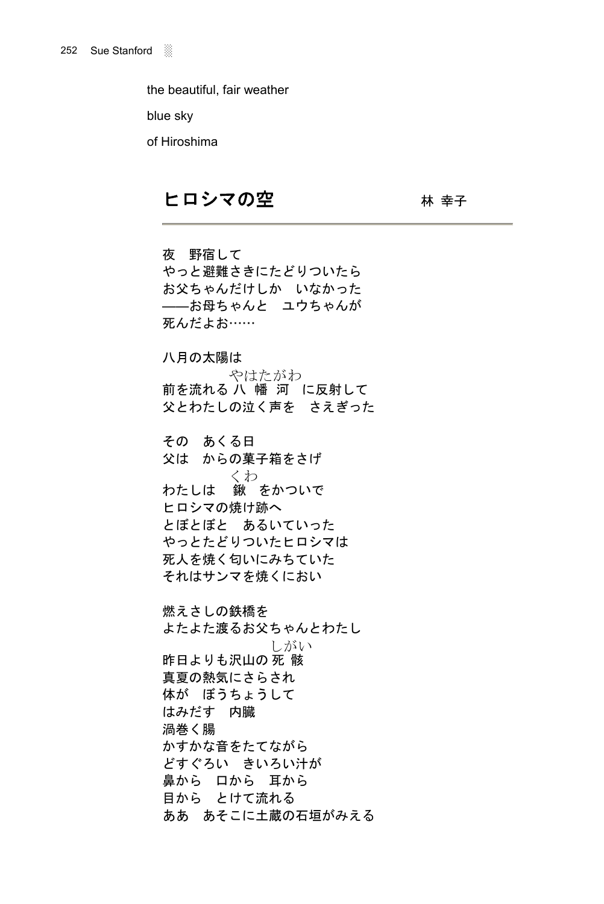the beautiful, fair weather

blue sky

of Hiroshima

# ヒロシマの空 みんじょう おうしゅう

夜 野宿して やっと避難さきにたどりついたら お父ちゃんだけしか いなかった ――お母ちゃんと ユウちゃんが 死んだよお……

八月の太陽は

前を流れる 八 幡 河 に反射して やはたがわ 父とわたしの泣く声を さえぎった

その あくる日 父は からの菓子箱をさげ わたしは 鍬 をかついで くわ ヒロシマの焼け跡へ とぼとぼと あるいていった やっとたどりついたヒロシマは 死人を焼く匂いにみちていた それはサンマを焼くにおい

燃えさしの鉄橋を よたよた渡るお父ちゃんとわたし 昨日よりも沢山の 死 骸 しがい 真夏の熱気にさらされ 体が ぼうちょうして はみだす 内臓 渦巻く腸 かすかな音をたてながら どすぐろい きいろい汁が 鼻から 口から 耳から 目から とけて流れる ああ あそこに土蔵の石垣がみえる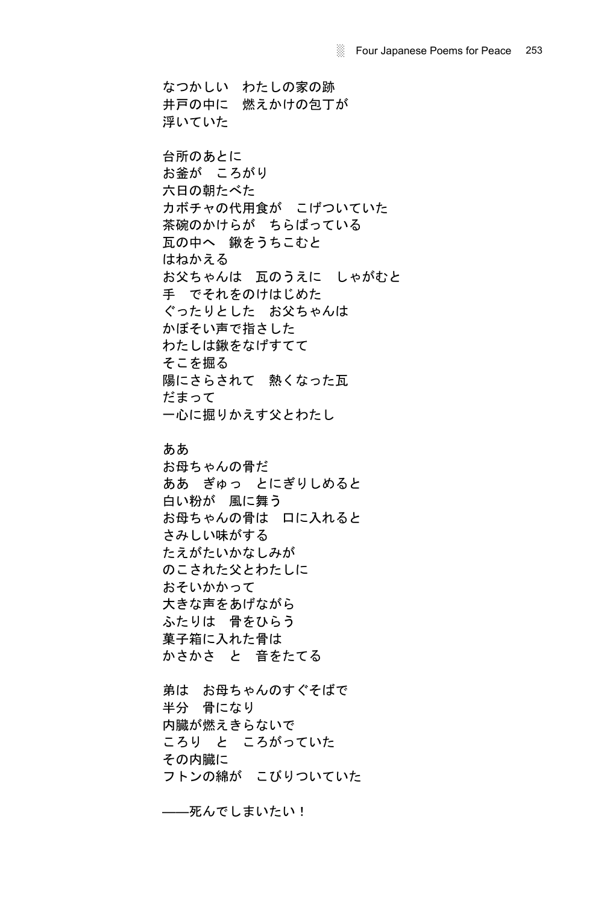なつかしい わたしの家の跡 井戸の中に 燃えかけの包丁が 浮いていた 台所のあとに お釜が ころがり 六日の朝たべた カボチャの代用食が こげついていた 茶碗のかけらが ちらばっている 瓦の中へ 鍬をうちこむと はねかえる お父ちゃんは 瓦のうえに しゃがむと 手 でそれをのけはじめた ぐったりとした お父ちゃんは かぼそい声で指さした わたしは鍬をなげすてて そこを掘る 陽にさらされて 熱くなった瓦 だまって 一心に掘りかえす父とわたし

# ああ

お母ちゃんの骨だ ああ ぎゅっ とにぎりしめると 白い粉が 風に舞う お母ちゃんの骨は 口に入れると さみしい味がする たえがたいかなしみが のこされた父とわたしに おそいかかって 大きな声をあげながら ふたりは 骨をひらう 菓子箱に入れた骨は かさかさ と 音をたてる

弟は お母ちゃんのすぐそばで 半分 骨になり 内臓が燃えきらないで ころり と ころがっていた その内臓に フトンの綿が こびりついていた

――死んでしまいたい!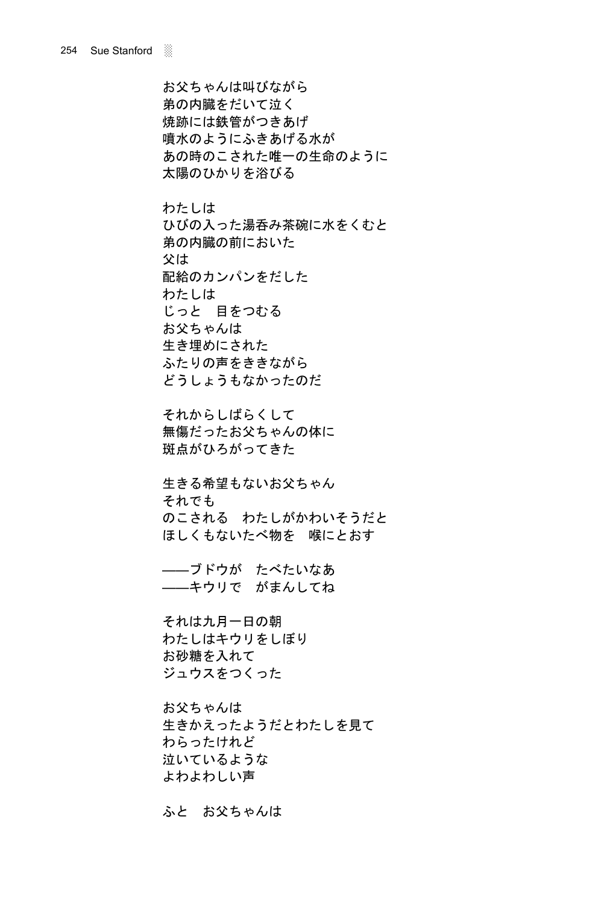お父ちゃんは叫びながら 弟の内臓をだいて泣く 焼跡には鉄管がつきあげ 噴水のようにふきあげる水が あの時のこされた唯一の生命のように 太陽のひかりを浴びる

わたしは ひびの入った湯呑み茶碗に水をくむと 弟の内臓の前においた 父は 配給のカンパンをだした わたしは じっと 目をつむる お父ちゃんは 生き埋めにされた ふたりの声をききながら どうしょうもなかったのだ

それからしばらくして 無傷だったお父ちゃんの体に 斑点がひろがってきた

生きる希望もないお父ちゃん それでも のこされる わたしがかわいそうだと ほしくもないたべ物を 喉にとおす

――ブドウが たべたいなあ ――キウリで がまんしてね

それは九月一日の朝 わたしはキウリをしぼり お砂糖を入れて ジュウスをつくった

お父ちゃんは 生きかえったようだとわたしを見て わらったけれど 泣いているような よわよわしい声

ふと お父ちゃんは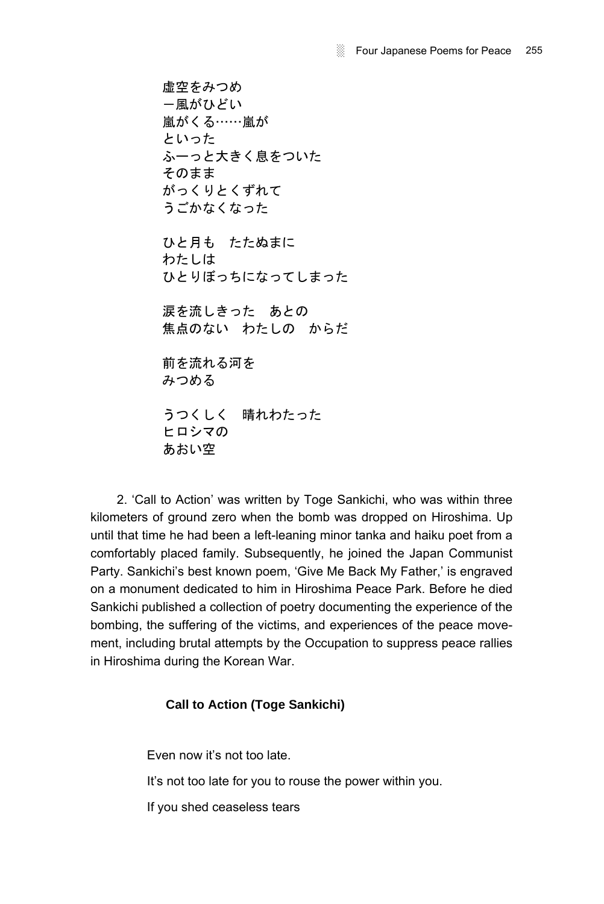虚空をみつめ -風がひどい 嵐がくる……嵐が といった ふーっと大きく息をついた そのまま がっくりとくずれて うごかなくなった

ひと月も たたぬまに わたしは ひとりぼっちになってしまった

涙を流しきった あとの 焦点のない わたしの からだ

前を流れる河を みつめる

うつくしく 晴れわたった ヒロシマの あおい空

2. 'Call to Action' was written by Toge Sankichi, who was within three kilometers of ground zero when the bomb was dropped on Hiroshima. Up until that time he had been a left-leaning minor tanka and haiku poet from a comfortably placed family. Subsequently, he joined the Japan Communist Party. Sankichi's best known poem, 'Give Me Back My Father,' is engraved on a monument dedicated to him in Hiroshima Peace Park. Before he died Sankichi published a collection of poetry documenting the experience of the bombing, the suffering of the victims, and experiences of the peace movement, including brutal attempts by the Occupation to suppress peace rallies in Hiroshima during the Korean War.

# **Call to Action (Toge Sankichi)**

Even now it's not too late. It's not too late for you to rouse the power within you. If you shed ceaseless tears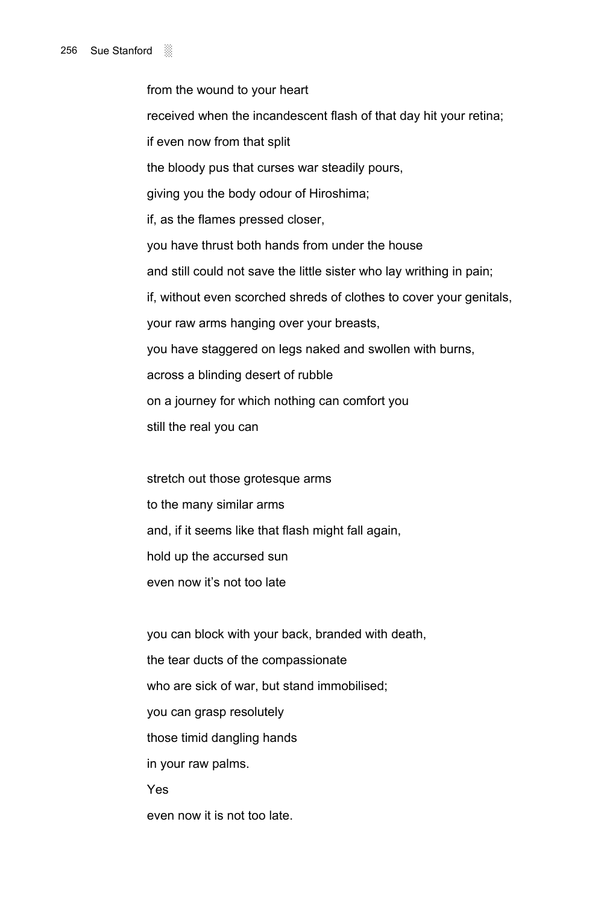from the wound to your heart received when the incandescent flash of that day hit your retina; if even now from that split the bloody pus that curses war steadily pours, giving you the body odour of Hiroshima; if, as the flames pressed closer, you have thrust both hands from under the house and still could not save the little sister who lay writhing in pain; if, without even scorched shreds of clothes to cover your genitals, your raw arms hanging over your breasts, you have staggered on legs naked and swollen with burns, across a blinding desert of rubble on a journey for which nothing can comfort you still the real you can

stretch out those grotesque arms to the many similar arms and, if it seems like that flash might fall again, hold up the accursed sun even now it's not too late

you can block with your back, branded with death, the tear ducts of the compassionate who are sick of war, but stand immobilised; you can grasp resolutely those timid dangling hands in your raw palms. Yes even now it is not too late.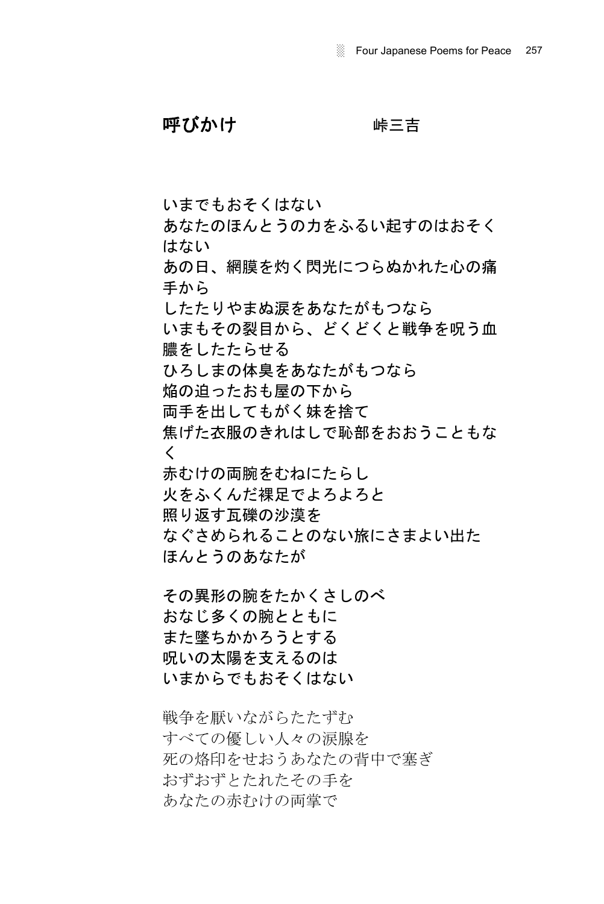呼びかけ 味三吉

いまでもおそくはない

あなたのほんとうの力をふるい起すのはおそく はない

あの日、網膜を灼く閃光につらぬかれた心の痛 手から

したたりやまぬ涙をあなたがもつなら

いまもその裂目から、どくどくと戦争を呪う血 膿をしたたらせる

ひろしまの体臭をあなたがもつなら

焔の迫ったおも屋の下から

両手を出してもがく妹を捨て

焦げた衣服のきれはしで恥部をおおうこともな く

赤むけの両腕をむねにたらし

火をふくんだ裸足でよろよろと

照り返す瓦礫の沙漠を

なぐさめられることのない旅にさまよい出た

ほんとうのあなたが

その異形の腕をたかくさしのべ おなじ多くの腕とともに また墜ちかかろうとする 呪いの太陽を支えるのは いまからでもおそくはない

戦争を厭いながらたたずむ すべての優しい人々の涙腺を 死の烙印をせおうあなたの背中で塞ぎ おずおずとたれたその手を あなたの赤むけの両掌で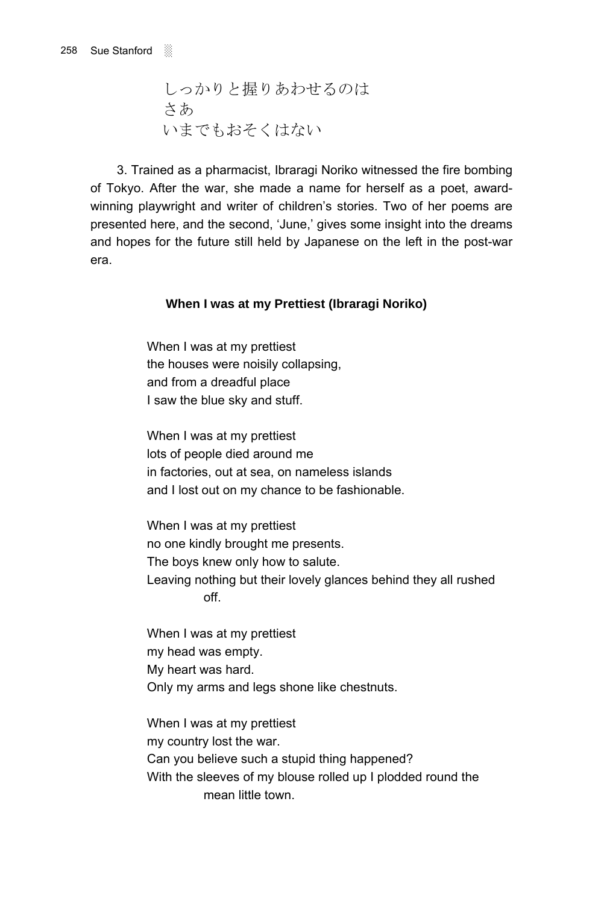しっかりと握りあわせるのは さあ いまでもおそくはない

3. Trained as a pharmacist, Ibraragi Noriko witnessed the fire bombing of Tokyo. After the war, she made a name for herself as a poet, awardwinning playwright and writer of children's stories. Two of her poems are presented here, and the second, 'June,' gives some insight into the dreams and hopes for the future still held by Japanese on the left in the post-war era.

## **When I was at my Prettiest (Ibraragi Noriko)**

When I was at my prettiest the houses were noisily collapsing, and from a dreadful place I saw the blue sky and stuff.

When I was at my prettiest lots of people died around me in factories, out at sea, on nameless islands and I lost out on my chance to be fashionable.

When I was at my prettiest no one kindly brought me presents. The boys knew only how to salute. Leaving nothing but their lovely glances behind they all rushed off.

When I was at my prettiest my head was empty. My heart was hard. Only my arms and legs shone like chestnuts.

When I was at my prettiest my country lost the war. Can you believe such a stupid thing happened? With the sleeves of my blouse rolled up I plodded round the mean little town.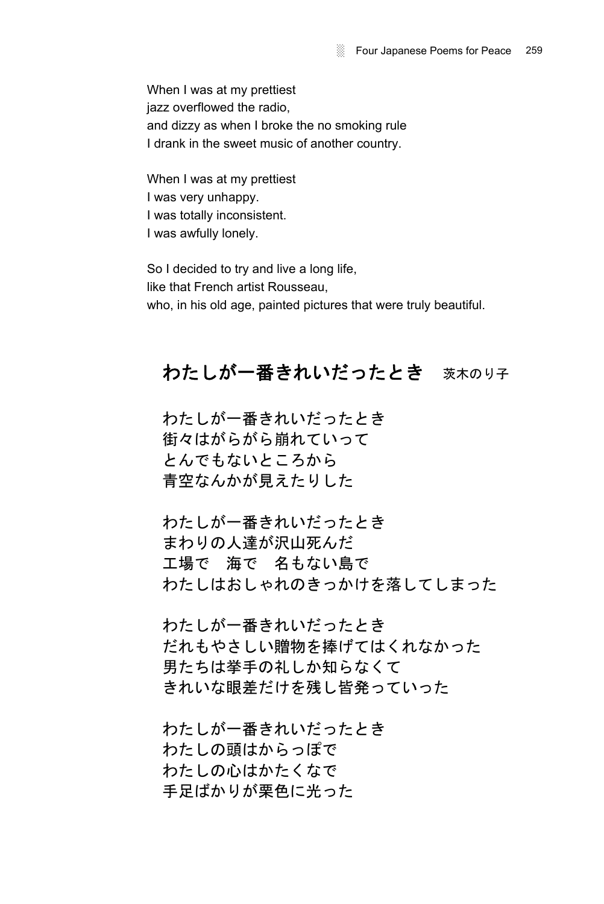When I was at my prettiest jazz overflowed the radio, and dizzy as when I broke the no smoking rule I drank in the sweet music of another country.

When I was at my prettiest I was very unhappy. I was totally inconsistent. I was awfully lonely.

So I decided to try and live a long life, like that French artist Rousseau, who, in his old age, painted pictures that were truly beautiful.

# わたしが一番きれいだったとき 茨木のり子

わたしが一番きれいだったとき 街々はがらがら崩れていって とんでもないところから 青空なんかが見えたりした

わたしが一番きれいだったとき まわりの人達が沢山死んだ 工場で 海で 名もない島で わたしはおしゃれのきっかけを落してしまった

わたしが一番きれいだったとき だれもやさしい贈物を捧げてはくれなかった 男たちは挙手の礼しか知らなくて きれいな眼差だけを残し皆発っていった

わたしが一番きれいだったとき わたしの頭はからっぽで わたしの心はかたくなで 手足ばかりが栗色に光った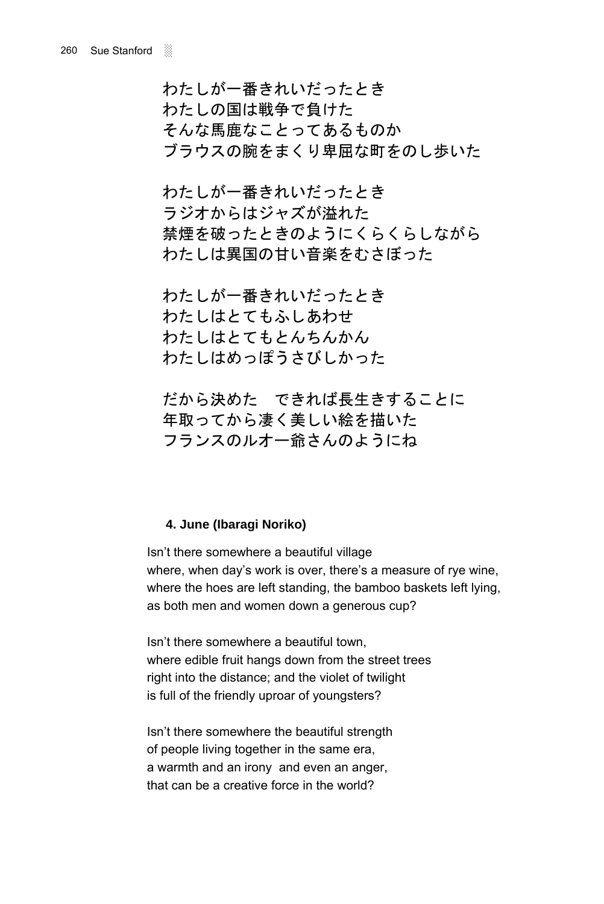わたしが一番きれいだったとき わたしの国は戦争で負けた そんな馬鹿なことってあるものか ブラウスの腕をまくり卑屈な町をのし歩いた

わたしが一番きれいだったとき ラジオからはジャズが溢れた 禁煙を破ったときのようにくらくらしながら わたしは異国の甘い音楽をむさぼった

わたしが一番きれいだったとき わたしはとてもふしあわせ わたしはとてもとんちんかん わたしはめっぽうさびしかった

だから決めた できれば長生きすることに 年取ってから凄く美しい絵を描いた フランスのルオー爺さんのようにね

# **4. June (Ibaragi Noriko)**

Isn't there somewhere a beautiful village where, when day's work is over, there's a measure of rye wine, where the hoes are left standing, the bamboo baskets left lying, as both men and women down a generous cup?

Isn't there somewhere a beautiful town, where edible fruit hangs down from the street trees right into the distance; and the violet of twilight is full of the friendly uproar of youngsters?

Isnít there somewhere the beautiful strength of people living together in the same era, a warmth and an irony and even an anger, that can be a creative force in the world?